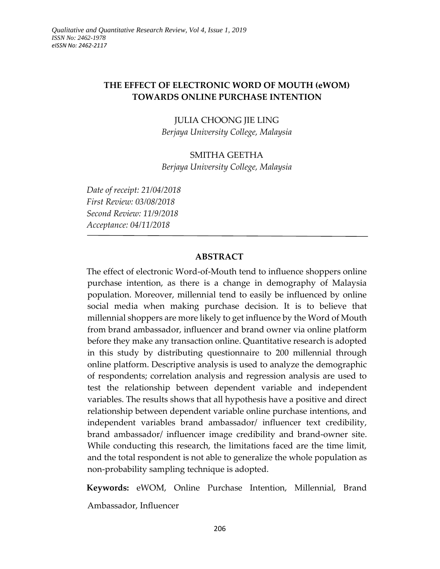# **THE EFFECT OF ELECTRONIC WORD OF MOUTH (eWOM) TOWARDS ONLINE PURCHASE INTENTION**

JULIA CHOONG JIE LING *Berjaya University College, Malaysia*

### SMITHA GEETHA

*Berjaya University College, Malaysia*

*Date of receipt: 21/04/2018 First Review: 03/08/2018 Second Review: 11/9/2018 Acceptance: 04/11/2018*

### **ABSTRACT**

The effect of electronic Word-of-Mouth tend to influence shoppers online purchase intention, as there is a change in demography of Malaysia population. Moreover, millennial tend to easily be influenced by online social media when making purchase decision. It is to believe that millennial shoppers are more likely to get influence by the Word of Mouth from brand ambassador, influencer and brand owner via online platform before they make any transaction online. Quantitative research is adopted in this study by distributing questionnaire to 200 millennial through online platform. Descriptive analysis is used to analyze the demographic of respondents; correlation analysis and regression analysis are used to test the relationship between dependent variable and independent variables. The results shows that all hypothesis have a positive and direct relationship between dependent variable online purchase intentions, and independent variables brand ambassador/ influencer text credibility, brand ambassador/ influencer image credibility and brand-owner site. While conducting this research, the limitations faced are the time limit, and the total respondent is not able to generalize the whole population as non-probability sampling technique is adopted.

**Keywords:** eWOM, Online Purchase Intention, Millennial, Brand Ambassador, Influencer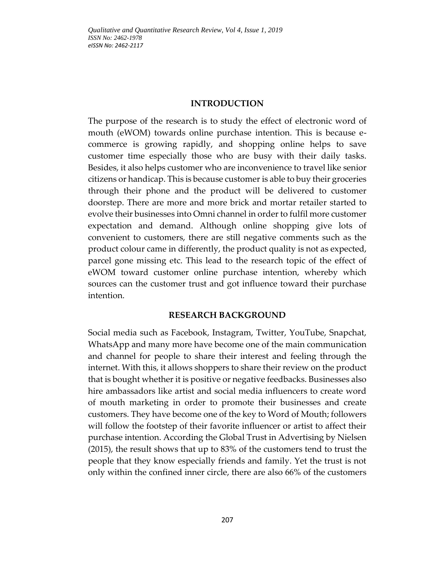#### **INTRODUCTION**

The purpose of the research is to study the effect of electronic word of mouth (eWOM) towards online purchase intention. This is because ecommerce is growing rapidly, and shopping online helps to save customer time especially those who are busy with their daily tasks. Besides, it also helps customer who are inconvenience to travel like senior citizens or handicap. This is because customer is able to buy their groceries through their phone and the product will be delivered to customer doorstep. There are more and more brick and mortar retailer started to evolve their businesses into Omni channel in order to fulfil more customer expectation and demand. Although online shopping give lots of convenient to customers, there are still negative comments such as the product colour came in differently, the product quality is not as expected, parcel gone missing etc. This lead to the research topic of the effect of eWOM toward customer online purchase intention, whereby which sources can the customer trust and got influence toward their purchase intention.

#### **RESEARCH BACKGROUND**

Social media such as Facebook, Instagram, Twitter, YouTube, Snapchat, WhatsApp and many more have become one of the main communication and channel for people to share their interest and feeling through the internet. With this, it allows shoppers to share their review on the product that is bought whether it is positive or negative feedbacks. Businesses also hire ambassadors like artist and social media influencers to create word of mouth marketing in order to promote their businesses and create customers. They have become one of the key to Word of Mouth; followers will follow the footstep of their favorite influencer or artist to affect their purchase intention. According the Global Trust in Advertising by Nielsen (2015), the result shows that up to 83% of the customers tend to trust the people that they know especially friends and family. Yet the trust is not only within the confined inner circle, there are also 66% of the customers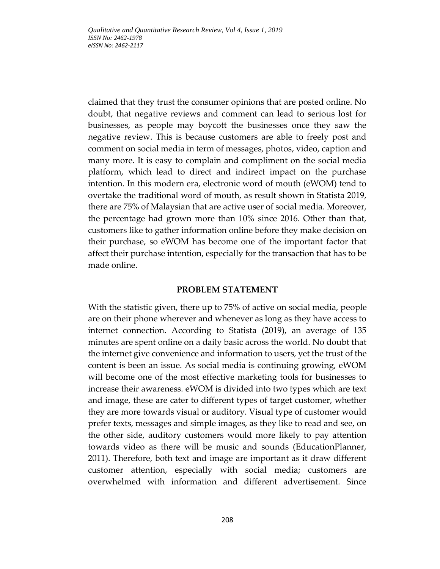claimed that they trust the consumer opinions that are posted online. No doubt, that negative reviews and comment can lead to serious lost for businesses, as people may boycott the businesses once they saw the negative review. This is because customers are able to freely post and comment on social media in term of messages, photos, video, caption and many more. It is easy to complain and compliment on the social media platform, which lead to direct and indirect impact on the purchase intention. In this modern era, electronic word of mouth (eWOM) tend to overtake the traditional word of mouth, as result shown in Statista 2019, there are 75% of Malaysian that are active user of social media. Moreover, the percentage had grown more than 10% since 2016. Other than that, customers like to gather information online before they make decision on their purchase, so eWOM has become one of the important factor that affect their purchase intention, especially for the transaction that has to be made online.

### **PROBLEM STATEMENT**

With the statistic given, there up to 75% of active on social media, people are on their phone wherever and whenever as long as they have access to internet connection. According to Statista (2019), an average of 135 minutes are spent online on a daily basic across the world. No doubt that the internet give convenience and information to users, yet the trust of the content is been an issue. As social media is continuing growing, eWOM will become one of the most effective marketing tools for businesses to increase their awareness. eWOM is divided into two types which are text and image, these are cater to different types of target customer, whether they are more towards visual or auditory. Visual type of customer would prefer texts, messages and simple images, as they like to read and see, on the other side, auditory customers would more likely to pay attention towards video as there will be music and sounds (EducationPlanner, 2011). Therefore, both text and image are important as it draw different customer attention, especially with social media; customers are overwhelmed with information and different advertisement. Since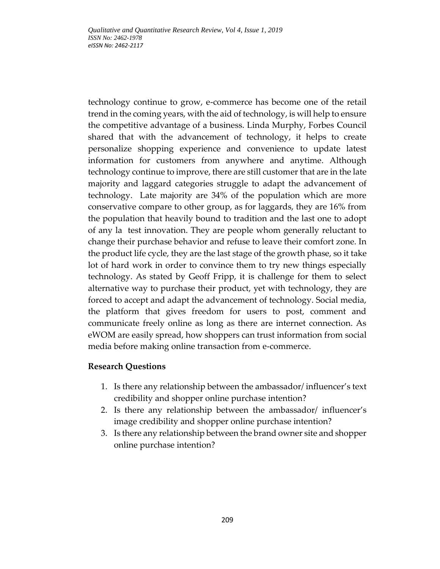technology continue to grow, e-commerce has become one of the retail trend in the coming years, with the aid of technology, is will help to ensure the competitive advantage of a business. Linda Murphy, Forbes Council shared that with the advancement of technology, it helps to create personalize shopping experience and convenience to update latest information for customers from anywhere and anytime. Although technology continue to improve, there are still customer that are in the late majority and laggard categories struggle to adapt the advancement of technology. Late majority are 34% of the population which are more conservative compare to other group, as for laggards, they are 16% from the population that heavily bound to tradition and the last one to adopt of any la test innovation. They are people whom generally reluctant to change their purchase behavior and refuse to leave their comfort zone. In the product life cycle, they are the last stage of the growth phase, so it take lot of hard work in order to convince them to try new things especially technology. As stated by Geoff Fripp, it is challenge for them to select alternative way to purchase their product, yet with technology, they are forced to accept and adapt the advancement of technology. Social media, the platform that gives freedom for users to post, comment and communicate freely online as long as there are internet connection. As eWOM are easily spread, how shoppers can trust information from social media before making online transaction from e-commerce.

## **Research Questions**

- 1. Is there any relationship between the ambassador/ influencer's text credibility and shopper online purchase intention?
- 2. Is there any relationship between the ambassador/ influencer's image credibility and shopper online purchase intention?
- 3. Is there any relationship between the brand owner site and shopper online purchase intention?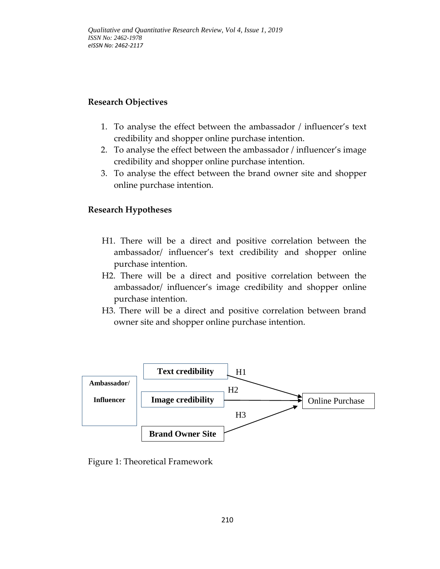# **Research Objectives**

- 1. To analyse the effect between the ambassador / influencer's text credibility and shopper online purchase intention.
- 2. To analyse the effect between the ambassador / influencer's image credibility and shopper online purchase intention.
- 3. To analyse the effect between the brand owner site and shopper online purchase intention.

## **Research Hypotheses**

- H1. There will be a direct and positive correlation between the ambassador/ influencer's text credibility and shopper online purchase intention.
- H2. There will be a direct and positive correlation between the ambassador/ influencer's image credibility and shopper online purchase intention.
- H3. There will be a direct and positive correlation between brand owner site and shopper online purchase intention.



Figure 1: Theoretical Framework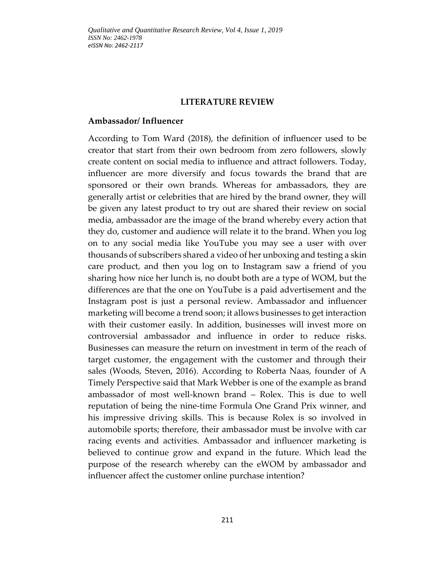#### **LITERATURE REVIEW**

#### **Ambassador/ Influencer**

According to Tom Ward (2018), the definition of influencer used to be creator that start from their own bedroom from zero followers, slowly create content on social media to influence and attract followers. Today, influencer are more diversify and focus towards the brand that are sponsored or their own brands. Whereas for ambassadors, they are generally artist or celebrities that are hired by the brand owner, they will be given any latest product to try out are shared their review on social media, ambassador are the image of the brand whereby every action that they do, customer and audience will relate it to the brand. When you log on to any social media like YouTube you may see a user with over thousands of subscribers shared a video of her unboxing and testing a skin care product, and then you log on to Instagram saw a friend of you sharing how nice her lunch is, no doubt both are a type of WOM, but the differences are that the one on YouTube is a paid advertisement and the Instagram post is just a personal review. Ambassador and influencer marketing will become a trend soon; it allows businesses to get interaction with their customer easily. In addition, businesses will invest more on controversial ambassador and influence in order to reduce risks. Businesses can measure the return on investment in term of the reach of target customer, the engagement with the customer and through their sales (Woods, Steven, 2016). According to Roberta Naas, founder of A Timely Perspective said that Mark Webber is one of the example as brand ambassador of most well-known brand – Rolex. This is due to well reputation of being the nine-time Formula One Grand Prix winner, and his impressive driving skills. This is because Rolex is so involved in automobile sports; therefore, their ambassador must be involve with car racing events and activities. Ambassador and influencer marketing is believed to continue grow and expand in the future. Which lead the purpose of the research whereby can the eWOM by ambassador and influencer affect the customer online purchase intention?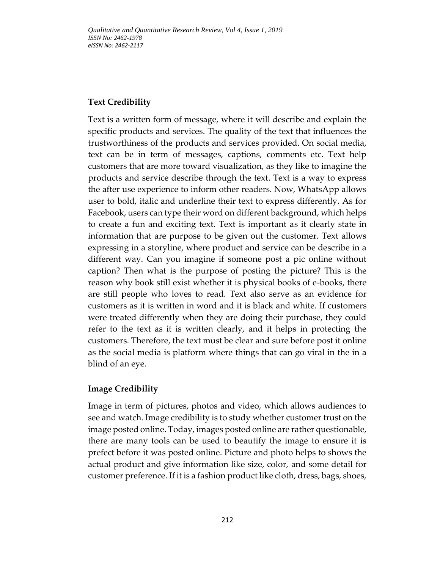## **Text Credibility**

Text is a written form of message, where it will describe and explain the specific products and services. The quality of the text that influences the trustworthiness of the products and services provided. On social media, text can be in term of messages, captions, comments etc. Text help customers that are more toward visualization, as they like to imagine the products and service describe through the text. Text is a way to express the after use experience to inform other readers. Now, WhatsApp allows user to bold, italic and underline their text to express differently. As for Facebook, users can type their word on different background, which helps to create a fun and exciting text. Text is important as it clearly state in information that are purpose to be given out the customer. Text allows expressing in a storyline, where product and service can be describe in a different way. Can you imagine if someone post a pic online without caption? Then what is the purpose of posting the picture? This is the reason why book still exist whether it is physical books of e-books, there are still people who loves to read. Text also serve as an evidence for customers as it is written in word and it is black and white. If customers were treated differently when they are doing their purchase, they could refer to the text as it is written clearly, and it helps in protecting the customers. Therefore, the text must be clear and sure before post it online as the social media is platform where things that can go viral in the in a blind of an eye.

# **Image Credibility**

Image in term of pictures, photos and video, which allows audiences to see and watch. Image credibility is to study whether customer trust on the image posted online. Today, images posted online are rather questionable, there are many tools can be used to beautify the image to ensure it is prefect before it was posted online. Picture and photo helps to shows the actual product and give information like size, color, and some detail for customer preference. If it is a fashion product like cloth, dress, bags, shoes,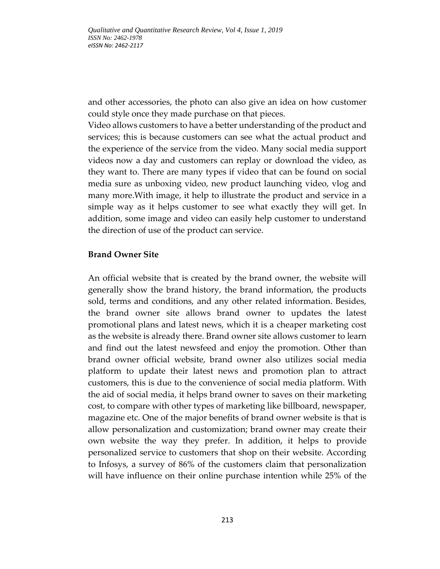and other accessories, the photo can also give an idea on how customer could style once they made purchase on that pieces.

Video allows customers to have a better understanding of the product and services; this is because customers can see what the actual product and the experience of the service from the video. Many social media support videos now a day and customers can replay or download the video, as they want to. There are many types if video that can be found on social media sure as unboxing video, new product launching video, vlog and many more.With image, it help to illustrate the product and service in a simple way as it helps customer to see what exactly they will get. In addition, some image and video can easily help customer to understand the direction of use of the product can service.

### **Brand Owner Site**

An official website that is created by the brand owner, the website will generally show the brand history, the brand information, the products sold, terms and conditions, and any other related information. Besides, the brand owner site allows brand owner to updates the latest promotional plans and latest news, which it is a cheaper marketing cost as the website is already there. Brand owner site allows customer to learn and find out the latest newsfeed and enjoy the promotion. Other than brand owner official website, brand owner also utilizes social media platform to update their latest news and promotion plan to attract customers, this is due to the convenience of social media platform. With the aid of social media, it helps brand owner to saves on their marketing cost, to compare with other types of marketing like billboard, newspaper, magazine etc. One of the major benefits of brand owner website is that is allow personalization and customization; brand owner may create their own website the way they prefer. In addition, it helps to provide personalized service to customers that shop on their website. According to Infosys, a survey of 86% of the customers claim that personalization will have influence on their online purchase intention while 25% of the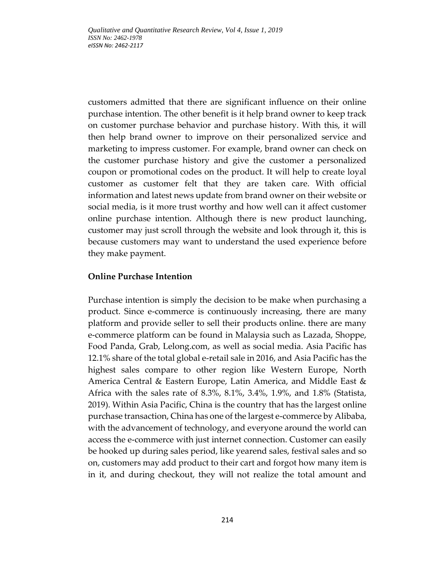customers admitted that there are significant influence on their online purchase intention. The other benefit is it help brand owner to keep track on customer purchase behavior and purchase history. With this, it will then help brand owner to improve on their personalized service and marketing to impress customer. For example, brand owner can check on the customer purchase history and give the customer a personalized coupon or promotional codes on the product. It will help to create loyal customer as customer felt that they are taken care. With official information and latest news update from brand owner on their website or social media, is it more trust worthy and how well can it affect customer online purchase intention. Although there is new product launching, customer may just scroll through the website and look through it, this is because customers may want to understand the used experience before they make payment.

## **Online Purchase Intention**

Purchase intention is simply the decision to be make when purchasing a product. Since e-commerce is continuously increasing, there are many platform and provide seller to sell their products online. there are many e-commerce platform can be found in Malaysia such as Lazada, Shoppe, Food Panda, Grab, Lelong.com, as well as social media. Asia Pacific has 12.1% share of the total global e-retail sale in 2016, and Asia Pacific has the highest sales compare to other region like Western Europe, North America Central & Eastern Europe, Latin America, and Middle East & Africa with the sales rate of 8.3%, 8.1%, 3.4%, 1.9%, and 1.8% (Statista, 2019). Within Asia Pacific, China is the country that has the largest online purchase transaction, China has one of the largest e-commerce by Alibaba, with the advancement of technology, and everyone around the world can access the e-commerce with just internet connection. Customer can easily be hooked up during sales period, like yearend sales, festival sales and so on, customers may add product to their cart and forgot how many item is in it, and during checkout, they will not realize the total amount and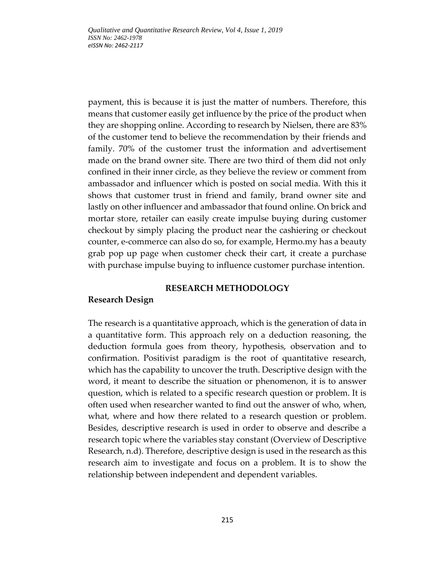payment, this is because it is just the matter of numbers. Therefore, this means that customer easily get influence by the price of the product when they are shopping online. According to research by Nielsen, there are 83% of the customer tend to believe the recommendation by their friends and family. 70% of the customer trust the information and advertisement made on the brand owner site. There are two third of them did not only confined in their inner circle, as they believe the review or comment from ambassador and influencer which is posted on social media. With this it shows that customer trust in friend and family, brand owner site and lastly on other influencer and ambassador that found online. On brick and mortar store, retailer can easily create impulse buying during customer checkout by simply placing the product near the cashiering or checkout counter, e-commerce can also do so, for example, Hermo.my has a beauty grab pop up page when customer check their cart, it create a purchase with purchase impulse buying to influence customer purchase intention.

### **RESEARCH METHODOLOGY**

## **Research Design**

The research is a quantitative approach, which is the generation of data in a quantitative form. This approach rely on a deduction reasoning, the deduction formula goes from theory, hypothesis, observation and to confirmation. Positivist paradigm is the root of quantitative research, which has the capability to uncover the truth. Descriptive design with the word, it meant to describe the situation or phenomenon, it is to answer question, which is related to a specific research question or problem. It is often used when researcher wanted to find out the answer of who, when, what, where and how there related to a research question or problem. Besides, descriptive research is used in order to observe and describe a research topic where the variables stay constant (Overview of Descriptive Research, n.d). Therefore, descriptive design is used in the research as this research aim to investigate and focus on a problem. It is to show the relationship between independent and dependent variables.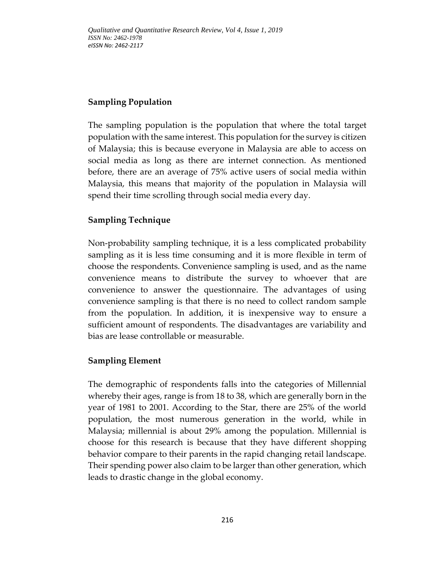# **Sampling Population**

The sampling population is the population that where the total target population with the same interest. This population for the survey is citizen of Malaysia; this is because everyone in Malaysia are able to access on social media as long as there are internet connection. As mentioned before, there are an average of 75% active users of social media within Malaysia, this means that majority of the population in Malaysia will spend their time scrolling through social media every day.

# **Sampling Technique**

Non-probability sampling technique, it is a less complicated probability sampling as it is less time consuming and it is more flexible in term of choose the respondents. Convenience sampling is used, and as the name convenience means to distribute the survey to whoever that are convenience to answer the questionnaire. The advantages of using convenience sampling is that there is no need to collect random sample from the population. In addition, it is inexpensive way to ensure a sufficient amount of respondents. The disadvantages are variability and bias are lease controllable or measurable.

# **Sampling Element**

The demographic of respondents falls into the categories of Millennial whereby their ages, range is from 18 to 38, which are generally born in the year of 1981 to 2001. According to the Star, there are 25% of the world population, the most numerous generation in the world, while in Malaysia; millennial is about 29% among the population. Millennial is choose for this research is because that they have different shopping behavior compare to their parents in the rapid changing retail landscape. Their spending power also claim to be larger than other generation, which leads to drastic change in the global economy.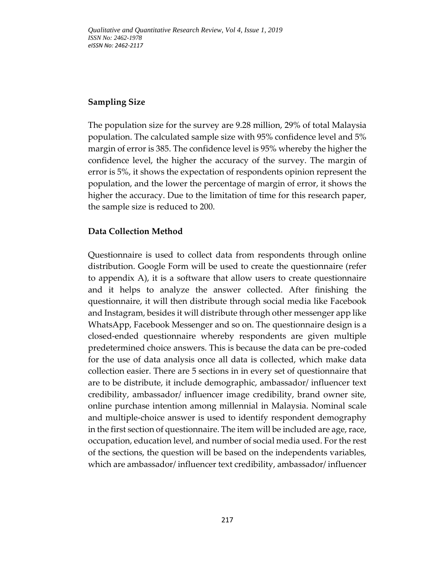## **Sampling Size**

The population size for the survey are 9.28 million, 29% of total Malaysia population. The calculated sample size with 95% confidence level and 5% margin of error is 385. The confidence level is 95% whereby the higher the confidence level, the higher the accuracy of the survey. The margin of error is 5%, it shows the expectation of respondents opinion represent the population, and the lower the percentage of margin of error, it shows the higher the accuracy. Due to the limitation of time for this research paper, the sample size is reduced to 200.

## **Data Collection Method**

Questionnaire is used to collect data from respondents through online distribution. Google Form will be used to create the questionnaire (refer to appendix A), it is a software that allow users to create questionnaire and it helps to analyze the answer collected. After finishing the questionnaire, it will then distribute through social media like Facebook and Instagram, besides it will distribute through other messenger app like WhatsApp, Facebook Messenger and so on. The questionnaire design is a closed-ended questionnaire whereby respondents are given multiple predetermined choice answers. This is because the data can be pre-coded for the use of data analysis once all data is collected, which make data collection easier. There are 5 sections in in every set of questionnaire that are to be distribute, it include demographic, ambassador/ influencer text credibility, ambassador/ influencer image credibility, brand owner site, online purchase intention among millennial in Malaysia. Nominal scale and multiple-choice answer is used to identify respondent demography in the first section of questionnaire. The item will be included are age, race, occupation, education level, and number of social media used. For the rest of the sections, the question will be based on the independents variables, which are ambassador/ influencer text credibility, ambassador/ influencer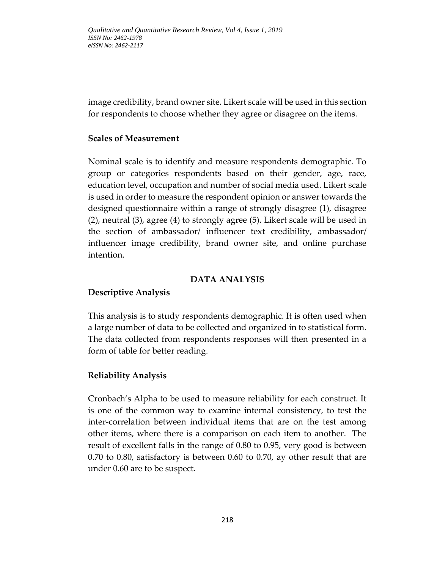image credibility, brand owner site. Likert scale will be used in this section for respondents to choose whether they agree or disagree on the items.

## **Scales of Measurement**

Nominal scale is to identify and measure respondents demographic. To group or categories respondents based on their gender, age, race, education level, occupation and number of social media used. Likert scale is used in order to measure the respondent opinion or answer towards the designed questionnaire within a range of strongly disagree (1), disagree (2), neutral (3), agree (4) to strongly agree (5). Likert scale will be used in the section of ambassador/ influencer text credibility, ambassador/ influencer image credibility, brand owner site, and online purchase intention.

#### **DATA ANALYSIS**

### **Descriptive Analysis**

This analysis is to study respondents demographic. It is often used when a large number of data to be collected and organized in to statistical form. The data collected from respondents responses will then presented in a form of table for better reading.

### **Reliability Analysis**

Cronbach's Alpha to be used to measure reliability for each construct. It is one of the common way to examine internal consistency, to test the inter-correlation between individual items that are on the test among other items, where there is a comparison on each item to another. The result of excellent falls in the range of 0.80 to 0.95, very good is between 0.70 to 0.80, satisfactory is between 0.60 to 0.70, ay other result that are under 0.60 are to be suspect.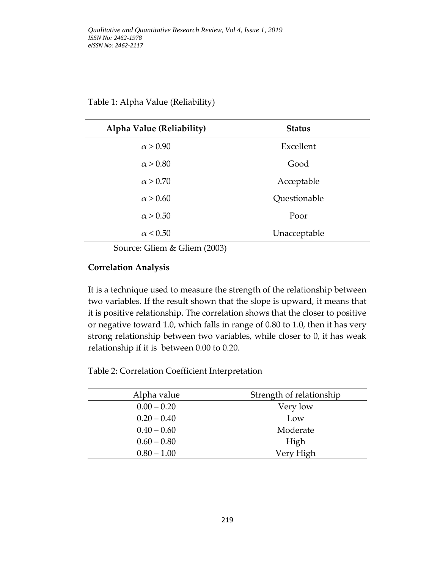| Alpha Value (Reliability) | <b>Status</b> |
|---------------------------|---------------|
| $\alpha > 0.90$           | Excellent     |
| $\alpha > 0.80$           | Good          |
| $\alpha > 0.70$           | Acceptable    |
| $\alpha > 0.60$           | Questionable  |
| $\alpha > 0.50$           | Poor          |
| $\alpha$ < 0.50           | Unacceptable  |

Source: Gliem & Gliem (2003)

### **Correlation Analysis**

It is a technique used to measure the strength of the relationship between two variables. If the result shown that the slope is upward, it means that it is positive relationship. The correlation shows that the closer to positive or negative toward 1.0, which falls in range of 0.80 to 1.0, then it has very strong relationship between two variables, while closer to 0, it has weak relationship if it is between 0.00 to 0.20.

Table 2: Correlation Coefficient Interpretation

| Alpha value   | Strength of relationship |
|---------------|--------------------------|
| $0.00 - 0.20$ | Very low                 |
| $0.20 - 0.40$ | Low                      |
| $0.40 - 0.60$ | Moderate                 |
| $0.60 - 0.80$ | High                     |
| $0.80 - 1.00$ | Very High                |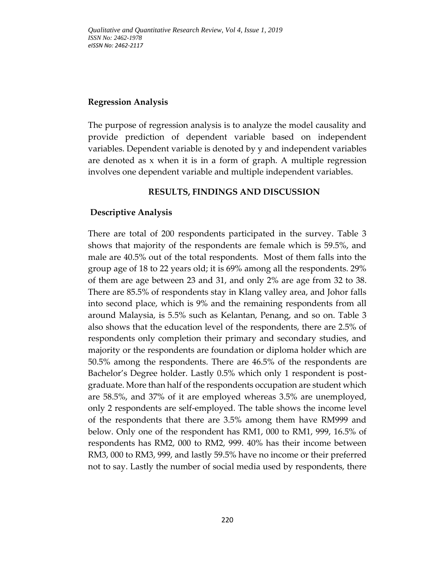## **Regression Analysis**

The purpose of regression analysis is to analyze the model causality and provide prediction of dependent variable based on independent variables. Dependent variable is denoted by y and independent variables are denoted as x when it is in a form of graph. A multiple regression involves one dependent variable and multiple independent variables.

## **RESULTS, FINDINGS AND DISCUSSION**

## **Descriptive Analysis**

There are total of 200 respondents participated in the survey. Table 3 shows that majority of the respondents are female which is 59.5%, and male are 40.5% out of the total respondents. Most of them falls into the group age of 18 to 22 years old; it is 69% among all the respondents. 29% of them are age between 23 and 31, and only 2% are age from 32 to 38. There are 85.5% of respondents stay in Klang valley area, and Johor falls into second place, which is 9% and the remaining respondents from all around Malaysia, is 5.5% such as Kelantan, Penang, and so on. Table 3 also shows that the education level of the respondents, there are 2.5% of respondents only completion their primary and secondary studies, and majority or the respondents are foundation or diploma holder which are 50.5% among the respondents. There are 46.5% of the respondents are Bachelor's Degree holder. Lastly 0.5% which only 1 respondent is postgraduate. More than half of the respondents occupation are student which are 58.5%, and 37% of it are employed whereas 3.5% are unemployed, only 2 respondents are self-employed. The table shows the income level of the respondents that there are 3.5% among them have RM999 and below. Only one of the respondent has RM1, 000 to RM1, 999, 16.5% of respondents has RM2, 000 to RM2, 999. 40% has their income between RM3, 000 to RM3, 999, and lastly 59.5% have no income or their preferred not to say. Lastly the number of social media used by respondents, there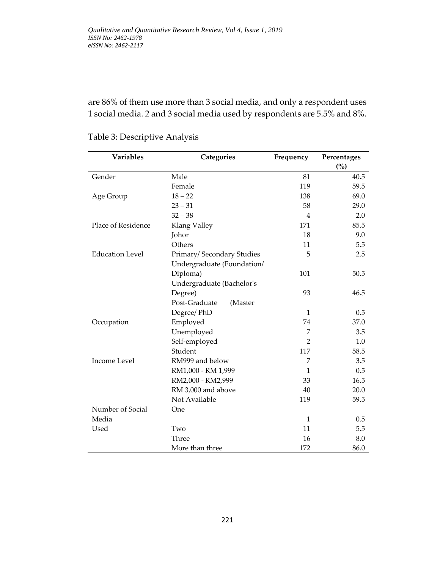are 86% of them use more than 3 social media, and only a respondent uses 1 social media. 2 and 3 social media used by respondents are 5.5% and 8%.

| Variables              | Categories                 | Frequency      | Percentages<br>(%) |  |
|------------------------|----------------------------|----------------|--------------------|--|
| Gender                 | Male                       | 81             | 40.5               |  |
|                        | Female                     | 119            | 59.5               |  |
| Age Group              | $18 - 22$                  | 138            | 69.0               |  |
|                        | $23 - 31$                  | 58             | 29.0               |  |
|                        | $32 - 38$                  | 4              | 2.0                |  |
| Place of Residence     | Klang Valley               | 171            | 85.5               |  |
|                        | Johor                      | 18             | 9.0                |  |
|                        | Others                     | 11             | 5.5                |  |
| <b>Education Level</b> | Primary/Secondary Studies  | 5              | 2.5                |  |
|                        | Undergraduate (Foundation/ |                |                    |  |
|                        | Diploma)                   | 101            | 50.5               |  |
|                        | Undergraduate (Bachelor's  |                |                    |  |
|                        | Degree)                    | 93             | 46.5               |  |
|                        | Post-Graduate<br>(Master   |                |                    |  |
|                        | Degree/ PhD                | $\mathbf{1}$   | 0.5                |  |
| Occupation             | Employed                   | 74             | 37.0               |  |
|                        | Unemployed                 | 7              | 3.5                |  |
|                        | Self-employed              | $\overline{2}$ | 1.0                |  |
|                        | Student                    | 117            | 58.5               |  |
| <b>Income Level</b>    | RM999 and below            | 7              | 3.5                |  |
|                        | RM1,000 - RM 1,999         | 1              | 0.5                |  |
|                        | RM2,000 - RM2,999          | 33             | 16.5               |  |
|                        | RM 3,000 and above         | 40             | 20.0               |  |
|                        | Not Available              | 119            | 59.5               |  |
| Number of Social       | One                        |                |                    |  |
| Media                  |                            | $\mathbf{1}$   | 0.5                |  |
| Used                   | Two                        | 11             | 5.5                |  |
|                        | Three                      | 16             | 8.0                |  |
|                        | More than three            | 172            | 86.0               |  |

## Table 3: Descriptive Analysis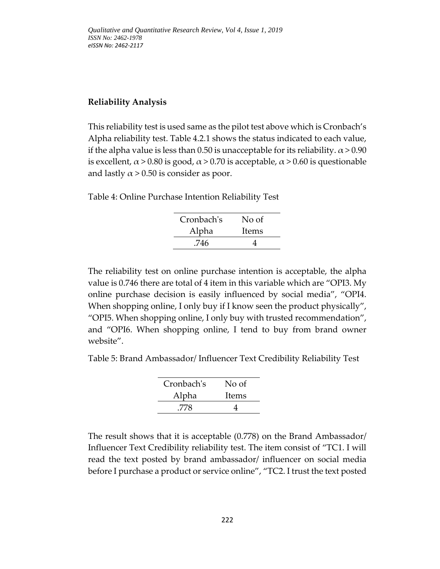### **Reliability Analysis**

This reliability test is used same as the pilot test above which is Cronbach's Alpha reliability test. Table 4.2.1 shows the status indicated to each value, if the alpha value is less than 0.50 is unacceptable for its reliability.  $\alpha$  > 0.90 is excellent,  $\alpha$  > 0.80 is good,  $\alpha$  > 0.70 is acceptable,  $\alpha$  > 0.60 is questionable and lastly  $\alpha$  > 0.50 is consider as poor.

Table 4: Online Purchase Intention Reliability Test

| Cronbach's | No of |
|------------|-------|
| Alpha      | Items |
| .746       |       |

The reliability test on online purchase intention is acceptable, the alpha value is 0.746 there are total of 4 item in this variable which are "OPI3. My online purchase decision is easily influenced by social media", "OPI4. When shopping online, I only buy if I know seen the product physically", "OPI5. When shopping online, I only buy with trusted recommendation", and "OPI6. When shopping online, I tend to buy from brand owner website".

Table 5: Brand Ambassador/ Influencer Text Credibility Reliability Test

| Cronbach's | No of |
|------------|-------|
| Alpha      | Items |
| .778       |       |

The result shows that it is acceptable (0.778) on the Brand Ambassador/ Influencer Text Credibility reliability test. The item consist of "TC1. I will read the text posted by brand ambassador/ influencer on social media before I purchase a product or service online", "TC2. I trust the text posted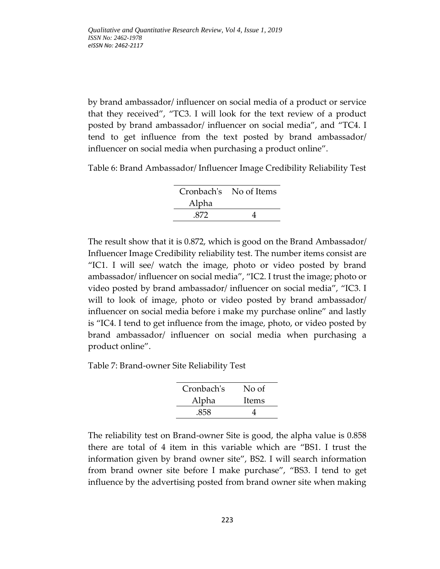by brand ambassador/ influencer on social media of a product or service that they received", "TC3. I will look for the text review of a product posted by brand ambassador/ influencer on social media", and "TC4. I tend to get influence from the text posted by brand ambassador/ influencer on social media when purchasing a product online".

Table 6: Brand Ambassador/ Influencer Image Credibility Reliability Test

|       | Cronbach's No of Items |
|-------|------------------------|
| Alpha |                        |
| .872  |                        |

The result show that it is 0.872, which is good on the Brand Ambassador/ Influencer Image Credibility reliability test. The number items consist are "IC1. I will see/ watch the image, photo or video posted by brand ambassador/ influencer on social media", "IC2. I trust the image; photo or video posted by brand ambassador/ influencer on social media", "IC3. I will to look of image, photo or video posted by brand ambassador/ influencer on social media before i make my purchase online" and lastly is "IC4. I tend to get influence from the image, photo, or video posted by brand ambassador/ influencer on social media when purchasing a product online".

Table 7: Brand-owner Site Reliability Test

| Cronbach's | No of |
|------------|-------|
| Alpha      | Items |
| .858       |       |

The reliability test on Brand-owner Site is good, the alpha value is 0.858 there are total of 4 item in this variable which are "BS1. I trust the information given by brand owner site", BS2. I will search information from brand owner site before I make purchase", "BS3. I tend to get influence by the advertising posted from brand owner site when making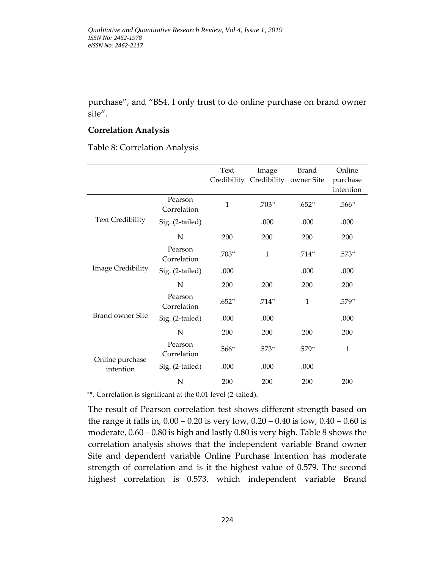purchase", and "BS4. I only trust to do online purchase on brand owner site".

### **Correlation Analysis**

Table 8: Correlation Analysis

|                              |                        | Text     | Image<br>Credibility Credibility owner Site | Brand        | Online<br>purchase<br>intention |
|------------------------------|------------------------|----------|---------------------------------------------|--------------|---------------------------------|
|                              | Pearson<br>Correlation | 1        | $.703**$                                    | $.652**$     | $.566**$                        |
| <b>Text Credibility</b>      | Sig. (2-tailed)        |          | .000                                        | .000         | .000                            |
|                              | N                      | 200      | 200                                         | 200          | 200                             |
|                              | Pearson<br>Correlation | $.703**$ | $\mathbf{1}$                                | $.714**$     | .573**                          |
| Image Credibility            | Sig. (2-tailed)        | .000     |                                             | .000         | .000                            |
|                              | N                      | 200      | 200                                         | 200          | 200                             |
|                              | Pearson<br>Correlation | $.652**$ | $.714**$                                    | $\mathbf{1}$ | .579**                          |
| <b>Brand owner Site</b>      | Sig. (2-tailed)        | .000     | .000                                        |              | .000                            |
|                              | N                      | 200      | 200                                         | 200          | 200                             |
|                              | Pearson<br>Correlation | $.566**$ | .573**                                      | $.579**$     | $\mathbf{1}$                    |
| Online purchase<br>intention | Sig. (2-tailed)        | .000     | .000                                        | .000         |                                 |
|                              | N                      | 200      | 200                                         | 200          | 200                             |

\*\*. Correlation is significant at the 0.01 level (2-tailed).

The result of Pearson correlation test shows different strength based on the range it falls in, 0.00 – 0.20 is very low, 0.20 – 0.40 is low, 0.40 – 0.60 is moderate, 0.60 – 0.80 is high and lastly 0.80 is very high. Table 8 shows the correlation analysis shows that the independent variable Brand owner Site and dependent variable Online Purchase Intention has moderate strength of correlation and is it the highest value of 0.579. The second highest correlation is 0.573, which independent variable Brand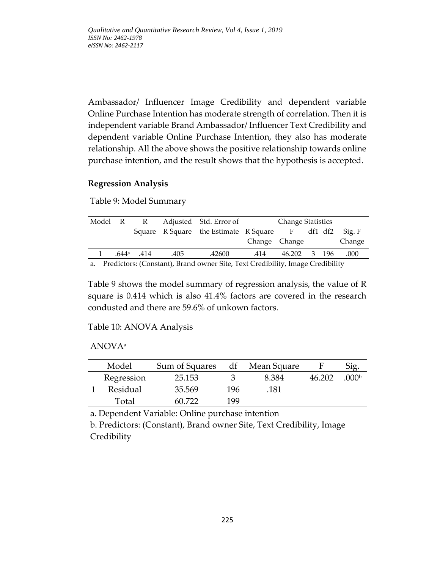Ambassador/ Influencer Image Credibility and dependent variable Online Purchase Intention has moderate strength of correlation. Then it is independent variable Brand Ambassador/ Influencer Text Credibility and dependent variable Online Purchase Intention, they also has moderate relationship. All the above shows the positive relationship towards online purchase intention, and the result shows that the hypothesis is accepted.

### **Regression Analysis**

Table 9: Model Summary

|  |                            |      | Model R R Adjusted Std. Error of                                                                   |               | Change Statistics |  |        |
|--|----------------------------|------|----------------------------------------------------------------------------------------------------|---------------|-------------------|--|--------|
|  |                            |      | Square R Square the Estimate R Square F df1 df2 Sig. F                                             |               |                   |  |        |
|  |                            |      |                                                                                                    | Change Change |                   |  | Change |
|  | $.644$ <sup>a</sup> $.414$ | .405 | .42600                                                                                             | .414          | 46.202 3 196      |  | .000   |
|  |                            |      | $\sim$ 0. December 10 and can be considered by $\sim$ 0.0 and 0. attached the constant 0. attached |               |                   |  |        |

a. Predictors: (Constant), Brand owner Site, Text Credibility, Image Credibility

Table 9 shows the model summary of regression analysis, the value of R square is 0.414 which is also 41.4% factors are covered in the research condusted and there are 59.6% of unkown factors.

### Table 10: ANOVA Analysis

### ANOVA<sup>a</sup>

| Model      | Sum of Squares | df  | Mean Square |        | Sig.             |
|------------|----------------|-----|-------------|--------|------------------|
| Regression | 25.153         |     | 8.384       | 46.202 | 000 <sub>p</sub> |
| Residual   | 35.569         | 196 | .181        |        |                  |
| Total      | 60 722         | 199 |             |        |                  |

a. Dependent Variable: Online purchase intention

b. Predictors: (Constant), Brand owner Site, Text Credibility, Image Credibility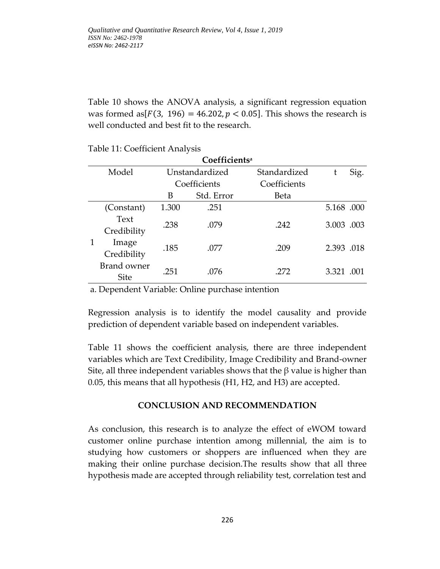Table 10 shows the ANOVA analysis, a significant regression equation was formed as  $[F(3, 196) = 46.202, p < 0.05]$ . This shows the research is well conducted and best fit to the research.

| Coefficients <sup>a</sup> |             |                |            |              |            |      |
|---------------------------|-------------|----------------|------------|--------------|------------|------|
|                           | Model       | Unstandardized |            | Standardized | t          | Sig. |
|                           |             | Coefficients   |            | Coefficients |            |      |
|                           |             | B              | Std. Error | <b>Beta</b>  |            |      |
|                           | (Constant)  | 1.300          | .251       |              | 5.168.000  |      |
|                           | Text        | .238           | .079       | .242         | 3.003 .003 |      |
|                           | Credibility |                |            |              |            |      |
|                           | Image       | .185           | .077       | .209         | 2.393 .018 |      |
|                           | Credibility |                |            |              |            |      |
|                           | Brand owner | .251           | .076       | .272         | 3.321 .001 |      |
|                           | <b>Site</b> |                |            |              |            |      |

a. Dependent Variable: Online purchase intention

Regression analysis is to identify the model causality and provide prediction of dependent variable based on independent variables.

Table 11 shows the coefficient analysis, there are three independent variables which are Text Credibility, Image Credibility and Brand-owner Site, all three independent variables shows that the  $\beta$  value is higher than 0.05, this means that all hypothesis (H1, H2, and H3) are accepted.

### **CONCLUSION AND RECOMMENDATION**

As conclusion, this research is to analyze the effect of eWOM toward customer online purchase intention among millennial, the aim is to studying how customers or shoppers are influenced when they are making their online purchase decision.The results show that all three hypothesis made are accepted through reliability test, correlation test and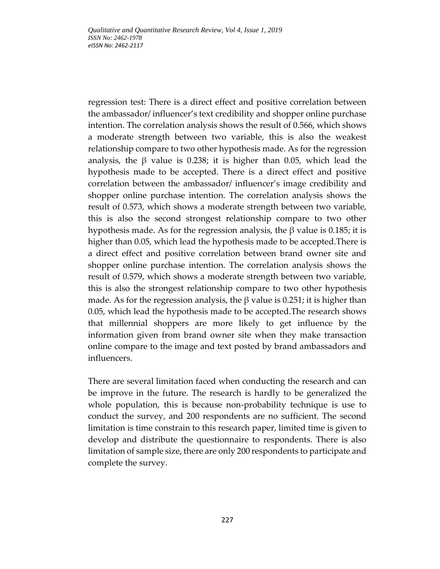regression test: There is a direct effect and positive correlation between the ambassador/ influencer's text credibility and shopper online purchase intention. The correlation analysis shows the result of 0.566, which shows a moderate strength between two variable, this is also the weakest relationship compare to two other hypothesis made. As for the regression analysis, the β value is 0.238; it is higher than 0.05, which lead the hypothesis made to be accepted. There is a direct effect and positive correlation between the ambassador/ influencer's image credibility and shopper online purchase intention. The correlation analysis shows the result of 0.573, which shows a moderate strength between two variable, this is also the second strongest relationship compare to two other hypothesis made. As for the regression analysis, the β value is 0.185; it is higher than 0.05, which lead the hypothesis made to be accepted.There is a direct effect and positive correlation between brand owner site and shopper online purchase intention. The correlation analysis shows the result of 0.579, which shows a moderate strength between two variable, this is also the strongest relationship compare to two other hypothesis made. As for the regression analysis, the  $\beta$  value is 0.251; it is higher than 0.05, which lead the hypothesis made to be accepted.The research shows that millennial shoppers are more likely to get influence by the information given from brand owner site when they make transaction online compare to the image and text posted by brand ambassadors and influencers.

There are several limitation faced when conducting the research and can be improve in the future. The research is hardly to be generalized the whole population, this is because non-probability technique is use to conduct the survey, and 200 respondents are no sufficient. The second limitation is time constrain to this research paper, limited time is given to develop and distribute the questionnaire to respondents. There is also limitation of sample size, there are only 200 respondents to participate and complete the survey.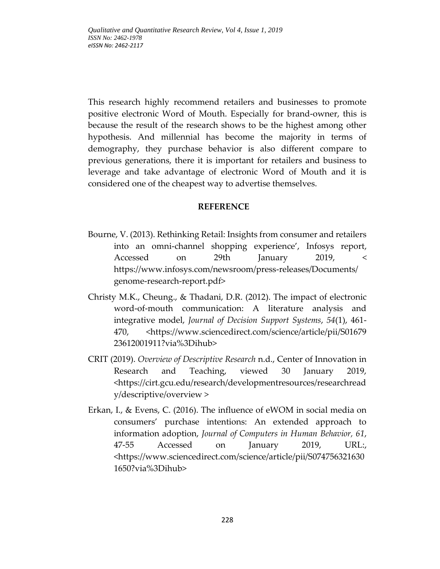This research highly recommend retailers and businesses to promote positive electronic Word of Mouth. Especially for brand-owner, this is because the result of the research shows to be the highest among other hypothesis. And millennial has become the majority in terms of demography, they purchase behavior is also different compare to previous generations, there it is important for retailers and business to leverage and take advantage of electronic Word of Mouth and it is considered one of the cheapest way to advertise themselves.

#### **REFERENCE**

- Bourne, V. (2013). Rethinking Retail: Insights from consumer and retailers into an omni-channel shopping experience', Infosys report, Accessed on 29th January 2019, < [https://www.infosys.com/newsroom/press-releases/Documents/](https://www.infosys.com/newsroom/press-releases/Documents/%20genome-research-report.pdf) [genome-research-report.pdf>](https://www.infosys.com/newsroom/press-releases/Documents/%20genome-research-report.pdf)
- Christy M.K., Cheung., & Thadani, D.R. (2012). The impact of electronic word-of-mouth communication: A literature analysis and integrative model, *Journal of Decision Support Systems*, *54*(1), 461- 470, [<https://www.sciencedirect.com/science/article/pii/S01679](https://www.sciencedirect.com/science/article/pii/S01679%2023612001911?via%3Dihub) [23612001911?via%3Dihub>](https://www.sciencedirect.com/science/article/pii/S01679%2023612001911?via%3Dihub)
- CRIT (2019). *Overview of Descriptive Research* n.d., Center of Innovation in Research and Teaching, viewed 30 January 2019, [<https://cirt.gcu.edu/research/developmentresources/researchread](https://cirt.gcu.edu/research/developmentresources/researchready/descriptive/overview) [y/descriptive/overview](https://cirt.gcu.edu/research/developmentresources/researchready/descriptive/overview) >
- Erkan, I., & Evens, C. (2016). The influence of eWOM in social media on consumers' purchase intentions: An extended approach to information adoption, *Journal of Computers in Human Behavior, 61*, 47-55 Accessed on January 2019, URL:, [<https://www.sciencedirect.com/science/article/pii/S074756321630](https://www.sciencedirect.com/science/article/pii/S0747563216301650?via%3Dihub) [1650?via%3Dihub>](https://www.sciencedirect.com/science/article/pii/S0747563216301650?via%3Dihub)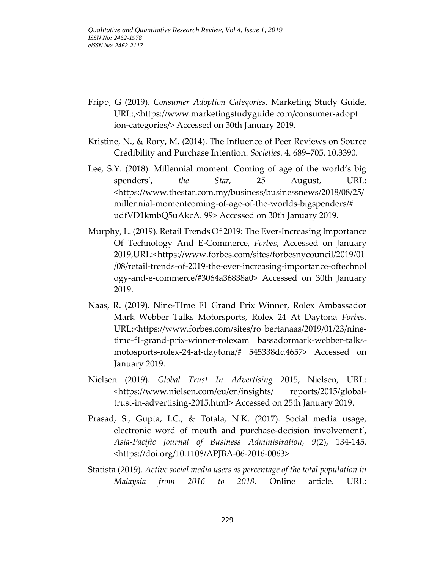- Fripp, G (2019). *Consumer Adoption Categories*, Marketing Study Guide, URL:,[<https://www.marketingstudyguide.com/consumer-adopt](https://www.marketingstudyguide.com/consumer-adopt%20ion-categories/) [ion-categories/>](https://www.marketingstudyguide.com/consumer-adopt%20ion-categories/) Accessed on 30th January 2019.
- Kristine, N., & Rory, M. (2014). The Influence of Peer Reviews on Source Credibility and Purchase Intention. *Societies*. 4. 689–705. 10.3390.
- Lee, S.Y. (2018). Millennial moment: Coming of age of the world's big spenders', *the Star,* 25 August, URL: [<https://www.thestar.com.my/business/businessnews/2018/08/25/](https://www.thestar.com.my/business/businessnews/2018/08/25/millennial-momentcoming-of-age-of-the-worlds-bigspenders/# udfVD1kmbQ5uAkcA. 99) [millennial-momentcoming-of-age-of-the-worlds-bigspenders/#](https://www.thestar.com.my/business/businessnews/2018/08/25/millennial-momentcoming-of-age-of-the-worlds-bigspenders/# udfVD1kmbQ5uAkcA. 99) [udfVD1kmbQ5uAkcA.](https://www.thestar.com.my/business/businessnews/2018/08/25/millennial-momentcoming-of-age-of-the-worlds-bigspenders/# udfVD1kmbQ5uAkcA. 99) 99> Accessed on 30th January 2019.
- Murphy, L. (2019). Retail Trends Of 2019: The Ever-Increasing Importance Of Technology And E-Commerce, *Forbes*, Accessed on January 2019,URL:[<https://www.forbes.com/sites/forbesnycouncil/2019/01](https://www.forbes.com/sites/forbesnycouncil/2019/01/08/retail-trends-of-2019-the-ever-increasing-importance-oftechnol%20ogy-and-e-commerce/#3064a36838a0) [/08/retail-trends-of-2019-the-ever-increasing-importance-oftechnol](https://www.forbes.com/sites/forbesnycouncil/2019/01/08/retail-trends-of-2019-the-ever-increasing-importance-oftechnol%20ogy-and-e-commerce/#3064a36838a0) [ogy-and-e-commerce/#3064a36838a0>](https://www.forbes.com/sites/forbesnycouncil/2019/01/08/retail-trends-of-2019-the-ever-increasing-importance-oftechnol%20ogy-and-e-commerce/#3064a36838a0) Accessed on 30th January 2019.
- Naas, R. (2019). Nine-TIme F1 Grand Prix Winner, Rolex Ambassador Mark Webber Talks Motorsports, Rolex 24 At Daytona *Forbes,* URL:[<https://www.forbes.com/sites/ro](https://www.forbes.com/sites/ro%20bertanaas/2019/01/23/nine-time-f1-grand-prix-winner-rolexam%20bassadormark-webber-talks-motosports-rolex-24-at-daytona/# 545338dd4657) bertanaas/2019/01/23/nine[time-f1-grand-prix-winner-rolexam](https://www.forbes.com/sites/ro%20bertanaas/2019/01/23/nine-time-f1-grand-prix-winner-rolexam%20bassadormark-webber-talks-motosports-rolex-24-at-daytona/# 545338dd4657) bassadormark-webber-talks[motosports-rolex-24-at-daytona/#](https://www.forbes.com/sites/ro%20bertanaas/2019/01/23/nine-time-f1-grand-prix-winner-rolexam%20bassadormark-webber-talks-motosports-rolex-24-at-daytona/# 545338dd4657) 545338dd4657> Accessed on January 2019.
- Nielsen (2019). *Global Trust In Advertising* 2015, Nielsen, URL: [<https://www.nielsen.com/eu/en/insights/](https://www.nielsen.com/eu/en/insights/%20reports/2015/global-trust-in-advertising-2015.html) reports/2015/global[trust-in-advertising-2015.html>](https://www.nielsen.com/eu/en/insights/%20reports/2015/global-trust-in-advertising-2015.html) Accessed on 25th January 2019.
- Prasad, S., Gupta, I.C., & Totala, N.K. (2017). Social media usage, electronic word of mouth and purchase-decision involvement', *Asia-Pacific Journal of Business Administration, 9*(2), 134-145, [<https://doi.org/10.1108/APJBA-06-2016-0063>](https://doi.org/10.1108/APJBA-06-2016-0063)
- Statista (2019). *Active social media users as percentage of the total population in Malaysia from 2016 to 2018*. Online article. URL: